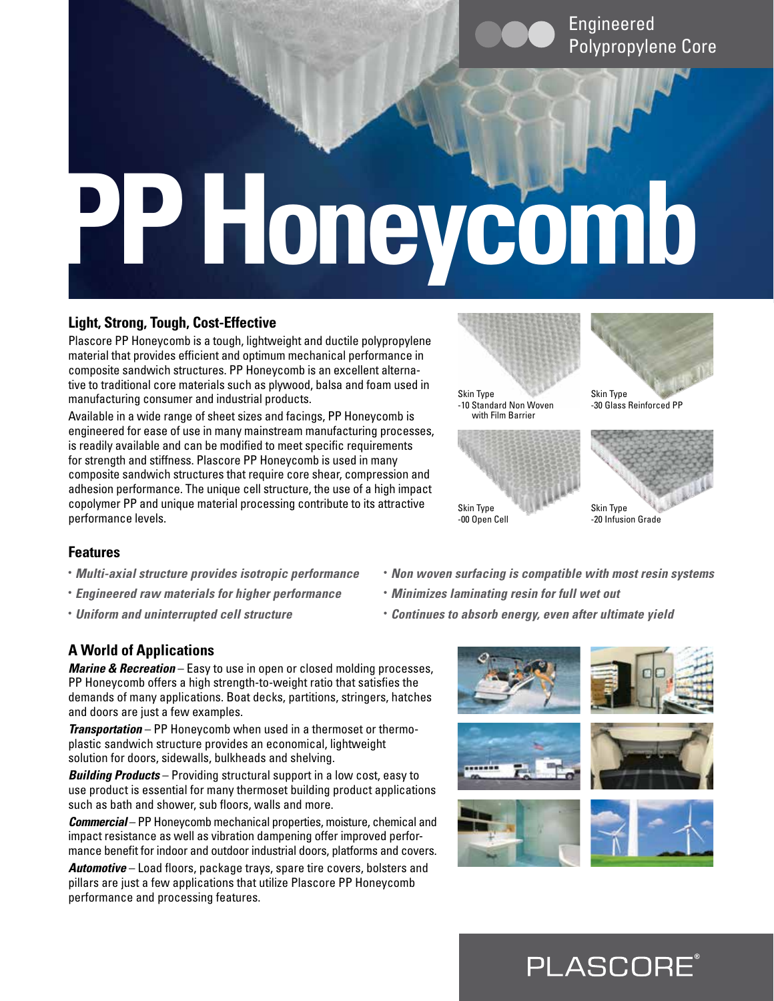# **PP Honeycomb**

# **Light, Strong, Tough, Cost-Effective**

Plascore PP Honeycomb is a tough, lightweight and ductile polypropylene material that provides efficient and optimum mechanical performance in composite sandwich structures. PP Honeycomb is an excellent alternative to traditional core materials such as plywood, balsa and foam used in manufacturing consumer and industrial products.

Available in a wide range of sheet sizes and facings, PP Honeycomb is engineered for ease of use in many mainstream manufacturing processes, is readily available and can be modified to meet specific requirements for strength and stiffness. Plascore PP Honeycomb is used in many composite sandwich structures that require core shear, compression and adhesion performance. The unique cell structure, the use of a high impact copolymer PP and unique material processing contribute to its attractive performance levels.



## **Features**

- *Multi-axial structure provides isotropic performance*
- *Engineered raw materials for higher performance*
- *Uniform and uninterrupted cell structure*
- *Non woven surfacing is compatible with most resin systems*
- *Minimizes laminating resin for full wet out*
- *Continues to absorb energy, even after ultimate yield*

# **A World of Applications**

*Marine & Recreation* – Easy to use in open or closed molding processes, PP Honeycomb offers a high strength-to-weight ratio that satisfies the demands of many applications. Boat decks, partitions, stringers, hatches and doors are just a few examples.

*Transportation* – PP Honeycomb when used in a thermoset or thermoplastic sandwich structure provides an economical, lightweight solution for doors, sidewalls, bulkheads and shelving.

*Building Products* – Providing structural support in a low cost, easy to use product is essential for many thermoset building product applications such as bath and shower, sub floors, walls and more.

*Commercial* – PP Honeycomb mechanical properties, moisture, chemical and impact resistance as well as vibration dampening offer improved performance benefit for indoor and outdoor industrial doors, platforms and covers.

*Automotive* – Load floors, package trays, spare tire covers, bolsters and pillars are just a few applications that utilize Plascore PP Honeycomb performance and processing features.



**PLASCORE**®